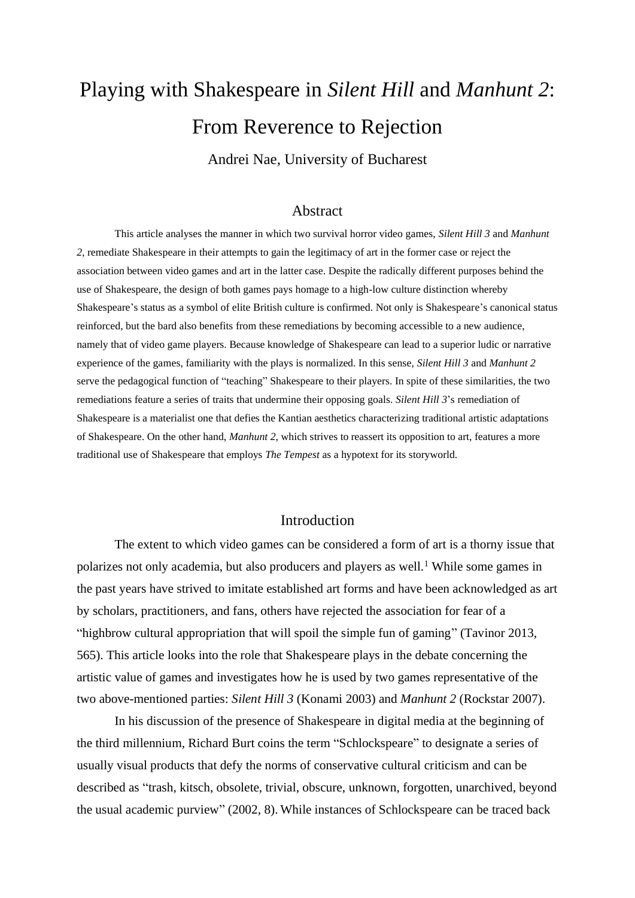# Playing with Shakespeare in *Silent Hill* and *Manhunt 2*: From Reverence to Rejection

Andrei Nae, University of Bucharest

### Abstract

This article analyses the manner in which two survival horror video games, *Silent Hill 3* and *Manhunt 2*, remediate Shakespeare in their attempts to gain the legitimacy of art in the former case or reject the association between video games and art in the latter case. Despite the radically different purposes behind the use of Shakespeare, the design of both games pays homage to a high-low culture distinction whereby Shakespeare's status as a symbol of elite British culture is confirmed. Not only is Shakespeare's canonical status reinforced, but the bard also benefits from these remediations by becoming accessible to a new audience, namely that of video game players. Because knowledge of Shakespeare can lead to a superior ludic or narrative experience of the games, familiarity with the plays is normalized. In this sense, *Silent Hill 3* and *Manhunt 2* serve the pedagogical function of "teaching" Shakespeare to their players. In spite of these similarities, the two remediations feature a series of traits that undermine their opposing goals. *Silent Hill 3*'s remediation of Shakespeare is a materialist one that defies the Kantian aesthetics characterizing traditional artistic adaptations of Shakespeare. On the other hand, *Manhunt 2*, which strives to reassert its opposition to art, features a more traditional use of Shakespeare that employs *The Tempest* as a hypotext for its storyworld.

### Introduction

The extent to which video games can be considered a form of art is a thorny issue that polarizes not only academia, but also producers and players as well.<sup>1</sup> While some games in the past years have strived to imitate established art forms and have been acknowledged as art by scholars, practitioners, and fans, others have rejected the association for fear of a "highbrow cultural appropriation that will spoil the simple fun of gaming" (Tavinor 2013, 565). This article looks into the role that Shakespeare plays in the debate concerning the artistic value of games and investigates how he is used by two games representative of the two above-mentioned parties: *Silent Hill 3* (Konami 2003) and *Manhunt 2* (Rockstar 2007).

In his discussion of the presence of Shakespeare in digital media at the beginning of the third millennium, Richard Burt coins the term "Schlockspeare" to designate a series of usually visual products that defy the norms of conservative cultural criticism and can be described as "trash, kitsch, obsolete, trivial, obscure, unknown, forgotten, unarchived, beyond the usual academic purview" (2002, 8). While instances of Schlockspeare can be traced back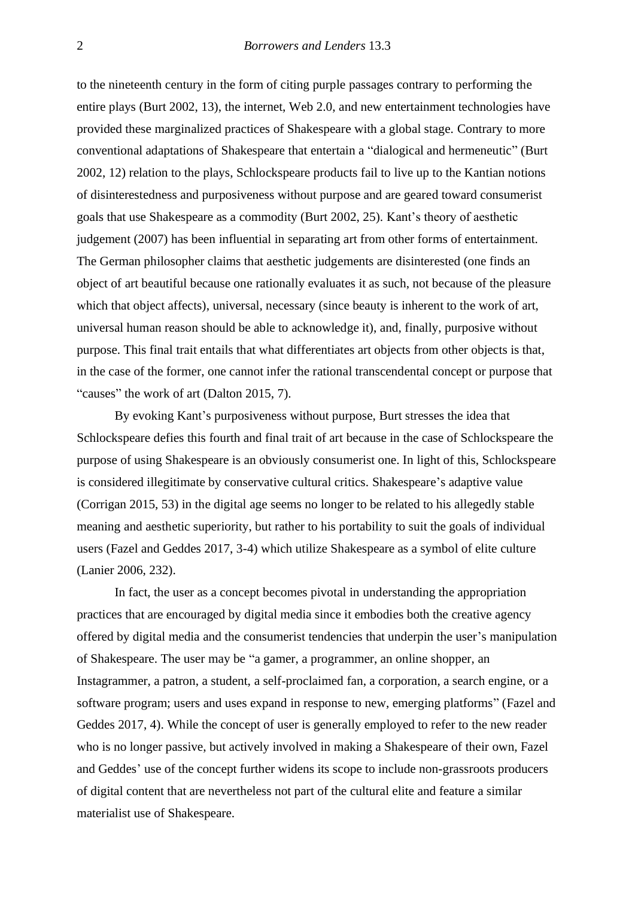to the nineteenth century in the form of citing purple passages contrary to performing the entire plays (Burt 2002, 13), the internet, Web 2.0, and new entertainment technologies have provided these marginalized practices of Shakespeare with a global stage. Contrary to more conventional adaptations of Shakespeare that entertain a "dialogical and hermeneutic" (Burt 2002, 12) relation to the plays, Schlockspeare products fail to live up to the Kantian notions of disinterestedness and purposiveness without purpose and are geared toward consumerist goals that use Shakespeare as a commodity (Burt 2002, 25). Kant's theory of aesthetic judgement (2007) has been influential in separating art from other forms of entertainment. The German philosopher claims that aesthetic judgements are disinterested (one finds an object of art beautiful because one rationally evaluates it as such, not because of the pleasure which that object affects), universal, necessary (since beauty is inherent to the work of art, universal human reason should be able to acknowledge it), and, finally, purposive without purpose. This final trait entails that what differentiates art objects from other objects is that, in the case of the former, one cannot infer the rational transcendental concept or purpose that "causes" the work of art (Dalton 2015, 7).

By evoking Kant's purposiveness without purpose, Burt stresses the idea that Schlockspeare defies this fourth and final trait of art because in the case of Schlockspeare the purpose of using Shakespeare is an obviously consumerist one. In light of this, Schlockspeare is considered illegitimate by conservative cultural critics. Shakespeare's adaptive value (Corrigan 2015, 53) in the digital age seems no longer to be related to his allegedly stable meaning and aesthetic superiority, but rather to his portability to suit the goals of individual users (Fazel and Geddes 2017, 3-4) which utilize Shakespeare as a symbol of elite culture (Lanier 2006, 232).

In fact, the user as a concept becomes pivotal in understanding the appropriation practices that are encouraged by digital media since it embodies both the creative agency offered by digital media and the consumerist tendencies that underpin the user's manipulation of Shakespeare. The user may be "a gamer, a programmer, an online shopper, an Instagrammer, a patron, a student, a self-proclaimed fan, a corporation, a search engine, or a software program; users and uses expand in response to new, emerging platforms" (Fazel and Geddes 2017, 4). While the concept of user is generally employed to refer to the new reader who is no longer passive, but actively involved in making a Shakespeare of their own, Fazel and Geddes' use of the concept further widens its scope to include non-grassroots producers of digital content that are nevertheless not part of the cultural elite and feature a similar materialist use of Shakespeare.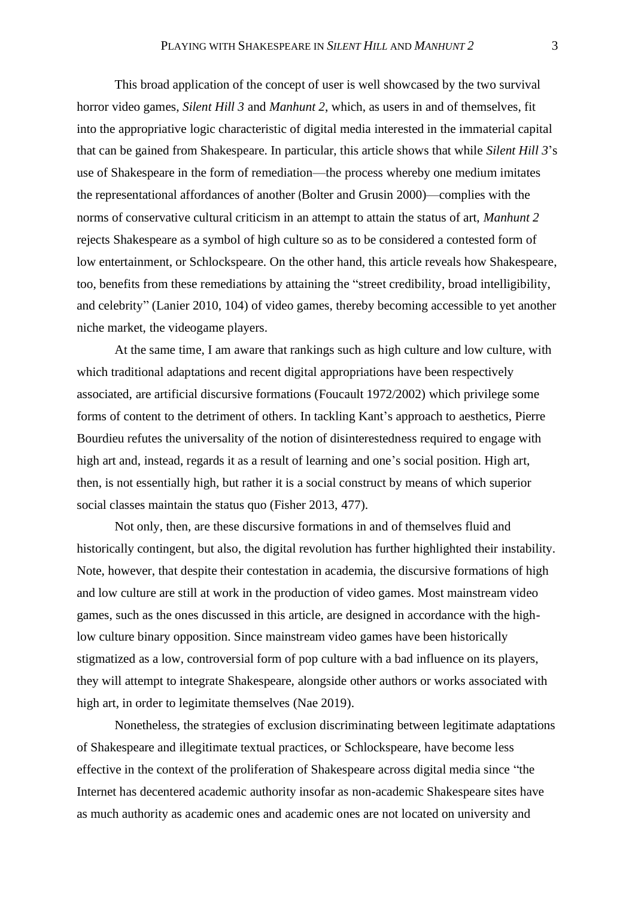This broad application of the concept of user is well showcased by the two survival horror video games, *Silent Hill 3* and *Manhunt 2*, which, as users in and of themselves, fit into the appropriative logic characteristic of digital media interested in the immaterial capital that can be gained from Shakespeare. In particular, this article shows that while *Silent Hill 3*'s use of Shakespeare in the form of remediation—the process whereby one medium imitates the representational affordances of another (Bolter and Grusin 2000)—complies with the norms of conservative cultural criticism in an attempt to attain the status of art, *Manhunt 2* rejects Shakespeare as a symbol of high culture so as to be considered a contested form of low entertainment, or Schlockspeare. On the other hand, this article reveals how Shakespeare, too, benefits from these remediations by attaining the "street credibility, broad intelligibility, and celebrity" (Lanier 2010, 104) of video games, thereby becoming accessible to yet another niche market, the videogame players.

At the same time, I am aware that rankings such as high culture and low culture, with which traditional adaptations and recent digital appropriations have been respectively associated, are artificial discursive formations (Foucault 1972/2002) which privilege some forms of content to the detriment of others. In tackling Kant's approach to aesthetics, Pierre Bourdieu refutes the universality of the notion of disinterestedness required to engage with high art and, instead, regards it as a result of learning and one's social position. High art, then, is not essentially high, but rather it is a social construct by means of which superior social classes maintain the status quo (Fisher 2013, 477).

Not only, then, are these discursive formations in and of themselves fluid and historically contingent, but also, the digital revolution has further highlighted their instability. Note, however, that despite their contestation in academia, the discursive formations of high and low culture are still at work in the production of video games. Most mainstream video games, such as the ones discussed in this article, are designed in accordance with the highlow culture binary opposition. Since mainstream video games have been historically stigmatized as a low, controversial form of pop culture with a bad influence on its players, they will attempt to integrate Shakespeare, alongside other authors or works associated with high art, in order to legimitate themselves (Nae 2019).

Nonetheless, the strategies of exclusion discriminating between legitimate adaptations of Shakespeare and illegitimate textual practices, or Schlockspeare, have become less effective in the context of the proliferation of Shakespeare across digital media since "the Internet has decentered academic authority insofar as non-academic Shakespeare sites have as much authority as academic ones and academic ones are not located on university and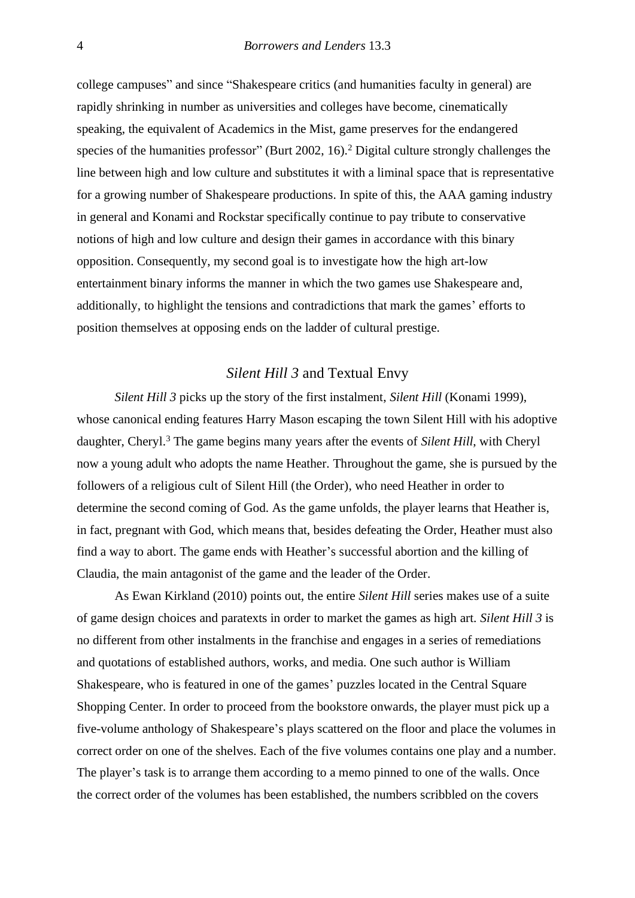college campuses" and since "Shakespeare critics (and humanities faculty in general) are rapidly shrinking in number as universities and colleges have become, cinematically speaking, the equivalent of Academics in the Mist, game preserves for the endangered species of the humanities professor" (Burt 2002, 16).<sup>2</sup> Digital culture strongly challenges the line between high and low culture and substitutes it with a liminal space that is representative for a growing number of Shakespeare productions. In spite of this, the AAA gaming industry in general and Konami and Rockstar specifically continue to pay tribute to conservative notions of high and low culture and design their games in accordance with this binary opposition. Consequently, my second goal is to investigate how the high art-low entertainment binary informs the manner in which the two games use Shakespeare and, additionally, to highlight the tensions and contradictions that mark the games' efforts to position themselves at opposing ends on the ladder of cultural prestige.

### *Silent Hill 3* and Textual Envy

*Silent Hill 3* picks up the story of the first instalment, *Silent Hill* (Konami 1999), whose canonical ending features Harry Mason escaping the town Silent Hill with his adoptive daughter, Cheryl. <sup>3</sup> The game begins many years after the events of *Silent Hill*, with Cheryl now a young adult who adopts the name Heather. Throughout the game, she is pursued by the followers of a religious cult of Silent Hill (the Order), who need Heather in order to determine the second coming of God. As the game unfolds, the player learns that Heather is, in fact, pregnant with God, which means that, besides defeating the Order, Heather must also find a way to abort. The game ends with Heather's successful abortion and the killing of Claudia, the main antagonist of the game and the leader of the Order.

As Ewan Kirkland (2010) points out, the entire *Silent Hill* series makes use of a suite of game design choices and paratexts in order to market the games as high art. *Silent Hill 3* is no different from other instalments in the franchise and engages in a series of remediations and quotations of established authors, works, and media. One such author is William Shakespeare, who is featured in one of the games' puzzles located in the Central Square Shopping Center. In order to proceed from the bookstore onwards, the player must pick up a five-volume anthology of Shakespeare's plays scattered on the floor and place the volumes in correct order on one of the shelves. Each of the five volumes contains one play and a number. The player's task is to arrange them according to a memo pinned to one of the walls. Once the correct order of the volumes has been established, the numbers scribbled on the covers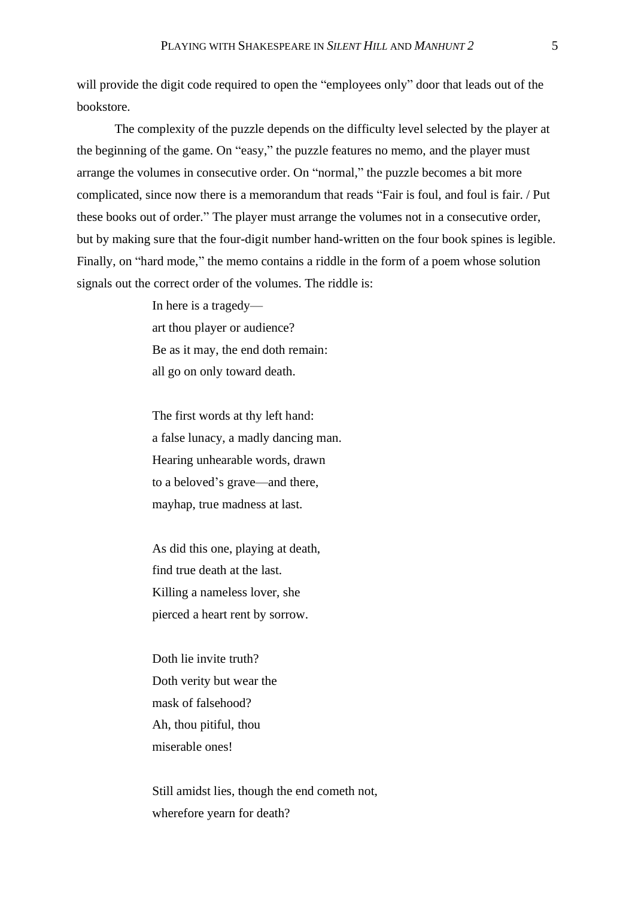will provide the digit code required to open the "employees only" door that leads out of the bookstore.

The complexity of the puzzle depends on the difficulty level selected by the player at the beginning of the game. On "easy," the puzzle features no memo, and the player must arrange the volumes in consecutive order. On "normal," the puzzle becomes a bit more complicated, since now there is a memorandum that reads "Fair is foul, and foul is fair. / Put these books out of order." The player must arrange the volumes not in a consecutive order, but by making sure that the four-digit number hand-written on the four book spines is legible. Finally, on "hard mode," the memo contains a riddle in the form of a poem whose solution signals out the correct order of the volumes. The riddle is:

> In here is a tragedy art thou player or audience? Be as it may, the end doth remain: all go on only toward death.

The first words at thy left hand: a false lunacy, a madly dancing man. Hearing unhearable words, drawn to a beloved's grave—and there, mayhap, true madness at last.

As did this one, playing at death, find true death at the last. Killing a nameless lover, she pierced a heart rent by sorrow.

Doth lie invite truth? Doth verity but wear the mask of falsehood? Ah, thou pitiful, thou miserable ones!

Still amidst lies, though the end cometh not, wherefore yearn for death?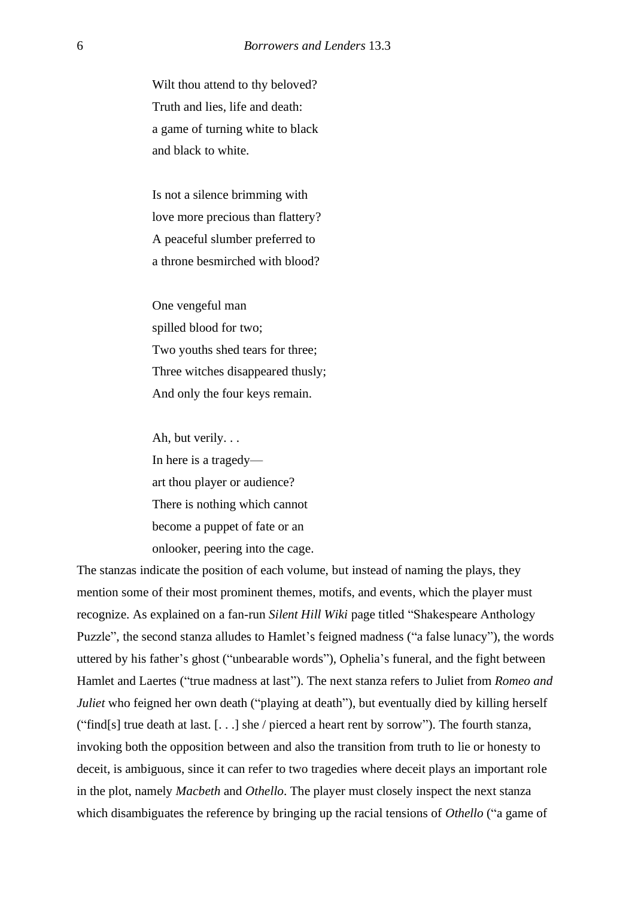Wilt thou attend to thy beloved? Truth and lies, life and death: a game of turning white to black and black to white.

Is not a silence brimming with love more precious than flattery? A peaceful slumber preferred to a throne besmirched with blood?

One vengeful man spilled blood for two; Two youths shed tears for three; Three witches disappeared thusly; And only the four keys remain.

Ah, but verily. . . In here is a tragedy art thou player or audience? There is nothing which cannot become a puppet of fate or an onlooker, peering into the cage.

The stanzas indicate the position of each volume, but instead of naming the plays, they mention some of their most prominent themes, motifs, and events, which the player must recognize. As explained on a fan-run *Silent Hill Wiki* page titled "Shakespeare Anthology Puzzle", the second stanza alludes to Hamlet's feigned madness ("a false lunacy"), the words uttered by his father's ghost ("unbearable words"), Ophelia's funeral, and the fight between Hamlet and Laertes ("true madness at last"). The next stanza refers to Juliet from *Romeo and Juliet* who feigned her own death ("playing at death"), but eventually died by killing herself ("find[s] true death at last. [. . .] she / pierced a heart rent by sorrow"). The fourth stanza, invoking both the opposition between and also the transition from truth to lie or honesty to deceit, is ambiguous, since it can refer to two tragedies where deceit plays an important role in the plot, namely *Macbeth* and *Othello*. The player must closely inspect the next stanza which disambiguates the reference by bringing up the racial tensions of *Othello* ("a game of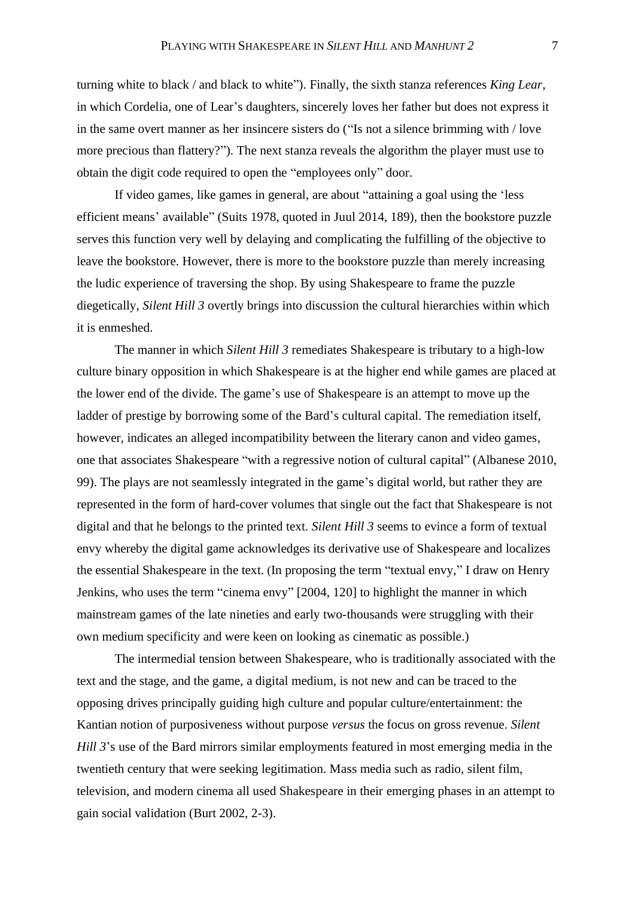turning white to black / and black to white"). Finally, the sixth stanza references *King Lear*, in which Cordelia, one of Lear's daughters, sincerely loves her father but does not express it in the same overt manner as her insincere sisters do ("Is not a silence brimming with / love more precious than flattery?"). The next stanza reveals the algorithm the player must use to obtain the digit code required to open the "employees only" door.

If video games, like games in general, are about "attaining a goal using the 'less efficient means' available" (Suits 1978, quoted in Juul 2014, 189), then the bookstore puzzle serves this function very well by delaying and complicating the fulfilling of the objective to leave the bookstore. However, there is more to the bookstore puzzle than merely increasing the ludic experience of traversing the shop. By using Shakespeare to frame the puzzle diegetically, *Silent Hill 3* overtly brings into discussion the cultural hierarchies within which it is enmeshed.

The manner in which *Silent Hill 3* remediates Shakespeare is tributary to a high-low culture binary opposition in which Shakespeare is at the higher end while games are placed at the lower end of the divide. The game's use of Shakespeare is an attempt to move up the ladder of prestige by borrowing some of the Bard's cultural capital. The remediation itself, however, indicates an alleged incompatibility between the literary canon and video games, one that associates Shakespeare "with a regressive notion of cultural capital" (Albanese 2010, 99). The plays are not seamlessly integrated in the game's digital world, but rather they are represented in the form of hard-cover volumes that single out the fact that Shakespeare is not digital and that he belongs to the printed text. *Silent Hill 3* seems to evince a form of textual envy whereby the digital game acknowledges its derivative use of Shakespeare and localizes the essential Shakespeare in the text. (In proposing the term "textual envy," I draw on Henry Jenkins, who uses the term "cinema envy" [2004, 120] to highlight the manner in which mainstream games of the late nineties and early two-thousands were struggling with their own medium specificity and were keen on looking as cinematic as possible.)

The intermedial tension between Shakespeare, who is traditionally associated with the text and the stage, and the game, a digital medium, is not new and can be traced to the opposing drives principally guiding high culture and popular culture/entertainment: the Kantian notion of purposiveness without purpose *versus* the focus on gross revenue. *Silent Hill 3*'s use of the Bard mirrors similar employments featured in most emerging media in the twentieth century that were seeking legitimation. Mass media such as radio, silent film, television, and modern cinema all used Shakespeare in their emerging phases in an attempt to gain social validation (Burt 2002, 2-3).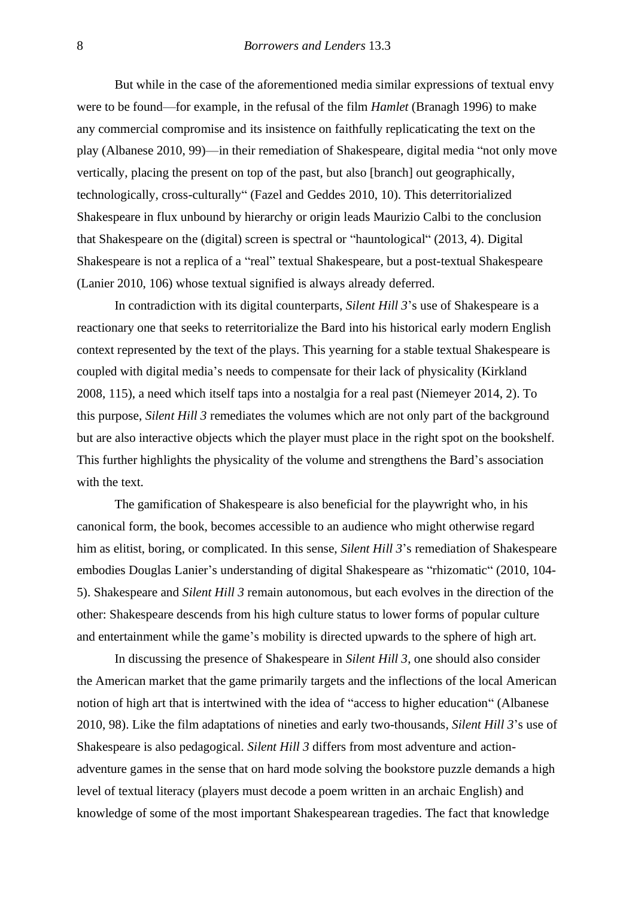But while in the case of the aforementioned media similar expressions of textual envy were to be found—for example, in the refusal of the film *Hamlet* (Branagh 1996) to make any commercial compromise and its insistence on faithfully replicaticating the text on the play (Albanese 2010, 99)—in their remediation of Shakespeare, digital media "not only move vertically, placing the present on top of the past, but also [branch] out geographically, technologically, cross-culturally" (Fazel and Geddes 2010, 10). This deterritorialized Shakespeare in flux unbound by hierarchy or origin leads Maurizio Calbi to the conclusion that Shakespeare on the (digital) screen is spectral or "hauntological" (2013, 4). Digital Shakespeare is not a replica of a "real" textual Shakespeare, but a post-textual Shakespeare (Lanier 2010, 106) whose textual signified is always already deferred.

In contradiction with its digital counterparts, *Silent Hill 3*'s use of Shakespeare is a reactionary one that seeks to reterritorialize the Bard into his historical early modern English context represented by the text of the plays. This yearning for a stable textual Shakespeare is coupled with digital media's needs to compensate for their lack of physicality (Kirkland 2008, 115), a need which itself taps into a nostalgia for a real past (Niemeyer 2014, 2). To this purpose, *Silent Hill 3* remediates the volumes which are not only part of the background but are also interactive objects which the player must place in the right spot on the bookshelf. This further highlights the physicality of the volume and strengthens the Bard's association with the text.

The gamification of Shakespeare is also beneficial for the playwright who, in his canonical form, the book, becomes accessible to an audience who might otherwise regard him as elitist, boring, or complicated. In this sense, *Silent Hill 3*'s remediation of Shakespeare embodies Douglas Lanier's understanding of digital Shakespeare as "rhizomatic" (2010, 104- 5). Shakespeare and *Silent Hill 3* remain autonomous, but each evolves in the direction of the other: Shakespeare descends from his high culture status to lower forms of popular culture and entertainment while the game's mobility is directed upwards to the sphere of high art.

In discussing the presence of Shakespeare in *Silent Hill 3*, one should also consider the American market that the game primarily targets and the inflections of the local American notion of high art that is intertwined with the idea of "access to higher education" (Albanese 2010, 98). Like the film adaptations of nineties and early two-thousands, *Silent Hill 3*'s use of Shakespeare is also pedagogical. *Silent Hill 3* differs from most adventure and actionadventure games in the sense that on hard mode solving the bookstore puzzle demands a high level of textual literacy (players must decode a poem written in an archaic English) and knowledge of some of the most important Shakespearean tragedies. The fact that knowledge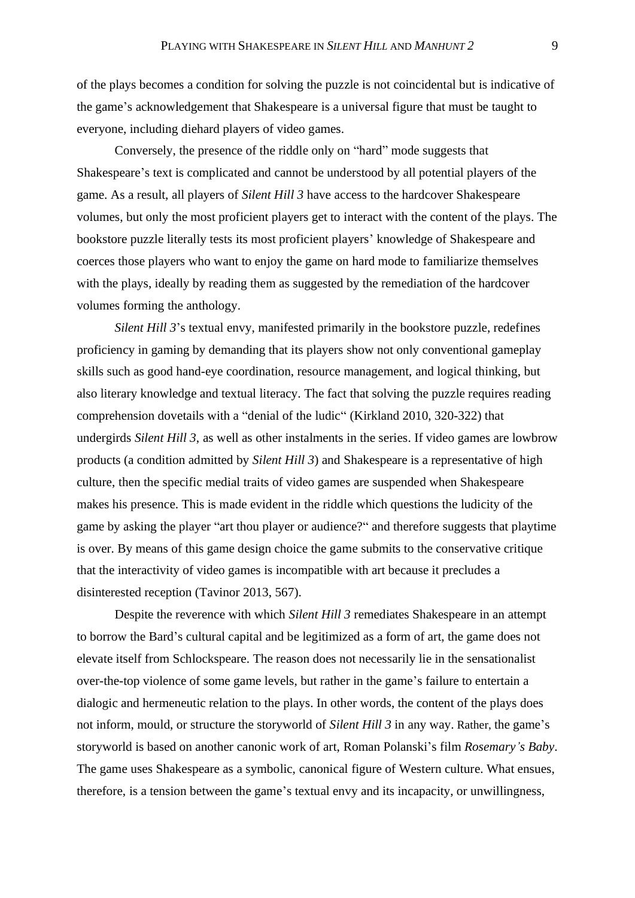of the plays becomes a condition for solving the puzzle is not coincidental but is indicative of the game's acknowledgement that Shakespeare is a universal figure that must be taught to everyone, including diehard players of video games.

Conversely, the presence of the riddle only on "hard" mode suggests that Shakespeare's text is complicated and cannot be understood by all potential players of the game. As a result, all players of *Silent Hill 3* have access to the hardcover Shakespeare volumes, but only the most proficient players get to interact with the content of the plays. The bookstore puzzle literally tests its most proficient players' knowledge of Shakespeare and coerces those players who want to enjoy the game on hard mode to familiarize themselves with the plays, ideally by reading them as suggested by the remediation of the hardcover volumes forming the anthology.

*Silent Hill 3*'s textual envy, manifested primarily in the bookstore puzzle, redefines proficiency in gaming by demanding that its players show not only conventional gameplay skills such as good hand-eye coordination, resource management, and logical thinking, but also literary knowledge and textual literacy. The fact that solving the puzzle requires reading comprehension dovetails with a "denial of the ludic" (Kirkland 2010, 320-322) that undergirds *Silent Hill 3*, as well as other instalments in the series. If video games are lowbrow products (a condition admitted by *Silent Hill 3*) and Shakespeare is a representative of high culture, then the specific medial traits of video games are suspended when Shakespeare makes his presence. This is made evident in the riddle which questions the ludicity of the game by asking the player "art thou player or audience?" and therefore suggests that playtime is over. By means of this game design choice the game submits to the conservative critique that the interactivity of video games is incompatible with art because it precludes a disinterested reception (Tavinor 2013, 567).

Despite the reverence with which *Silent Hill 3* remediates Shakespeare in an attempt to borrow the Bard's cultural capital and be legitimized as a form of art, the game does not elevate itself from Schlockspeare. The reason does not necessarily lie in the sensationalist over-the-top violence of some game levels, but rather in the game's failure to entertain a dialogic and hermeneutic relation to the plays. In other words, the content of the plays does not inform, mould, or structure the storyworld of *Silent Hill 3* in any way. Rather, the game's storyworld is based on another canonic work of art, Roman Polanski's film *Rosemary's Baby*. The game uses Shakespeare as a symbolic, canonical figure of Western culture. What ensues, therefore, is a tension between the game's textual envy and its incapacity, or unwillingness,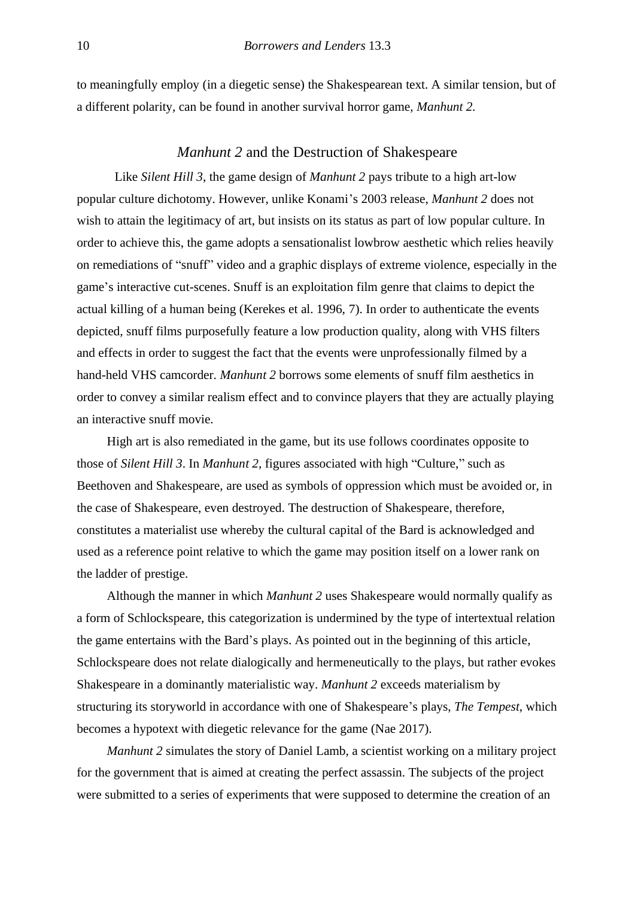to meaningfully employ (in a diegetic sense) the Shakespearean text. A similar tension, but of a different polarity, can be found in another survival horror game, *Manhunt 2.*

#### *Manhunt 2* and the Destruction of Shakespeare

Like *Silent Hill 3*, the game design of *Manhunt 2* pays tribute to a high art-low popular culture dichotomy. However, unlike Konami's 2003 release, *Manhunt 2* does not wish to attain the legitimacy of art, but insists on its status as part of low popular culture. In order to achieve this, the game adopts a sensationalist lowbrow aesthetic which relies heavily on remediations of "snuff" video and a graphic displays of extreme violence, especially in the game's interactive cut-scenes. Snuff is an exploitation film genre that claims to depict the actual killing of a human being (Kerekes et al. 1996, 7). In order to authenticate the events depicted, snuff films purposefully feature a low production quality, along with VHS filters and effects in order to suggest the fact that the events were unprofessionally filmed by a hand-held VHS camcorder. *Manhunt 2* borrows some elements of snuff film aesthetics in order to convey a similar realism effect and to convince players that they are actually playing an interactive snuff movie.

High art is also remediated in the game, but its use follows coordinates opposite to those of *Silent Hill 3*. In *Manhunt 2*, figures associated with high "Culture," such as Beethoven and Shakespeare, are used as symbols of oppression which must be avoided or, in the case of Shakespeare, even destroyed. The destruction of Shakespeare, therefore, constitutes a materialist use whereby the cultural capital of the Bard is acknowledged and used as a reference point relative to which the game may position itself on a lower rank on the ladder of prestige.

Although the manner in which *Manhunt 2* uses Shakespeare would normally qualify as a form of Schlockspeare, this categorization is undermined by the type of intertextual relation the game entertains with the Bard's plays. As pointed out in the beginning of this article, Schlockspeare does not relate dialogically and hermeneutically to the plays, but rather evokes Shakespeare in a dominantly materialistic way. *Manhunt 2* exceeds materialism by structuring its storyworld in accordance with one of Shakespeare's plays, *The Tempest*, which becomes a hypotext with diegetic relevance for the game (Nae 2017).

*Manhunt 2* simulates the story of Daniel Lamb, a scientist working on a military project for the government that is aimed at creating the perfect assassin. The subjects of the project were submitted to a series of experiments that were supposed to determine the creation of an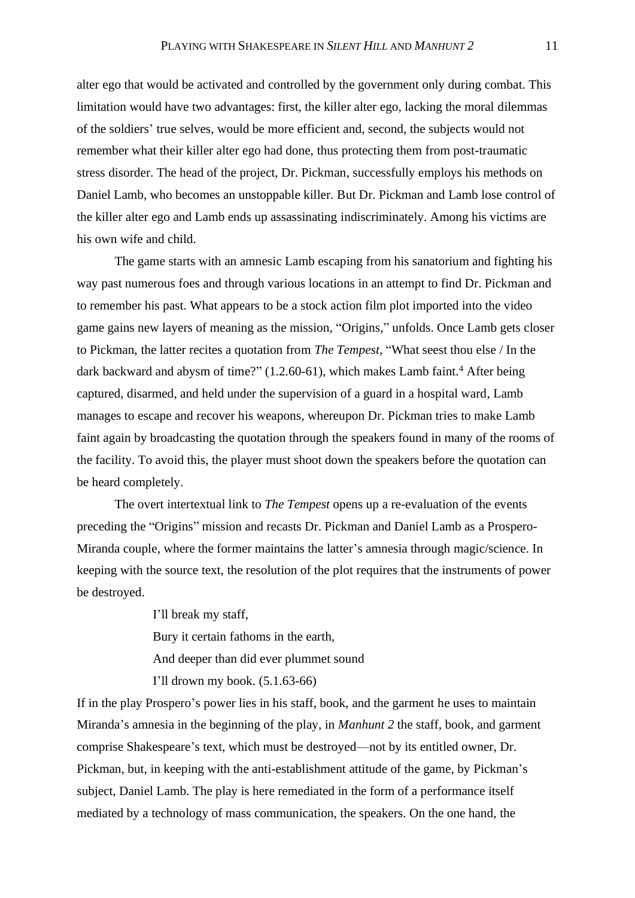alter ego that would be activated and controlled by the government only during combat. This limitation would have two advantages: first, the killer alter ego, lacking the moral dilemmas of the soldiers' true selves, would be more efficient and, second, the subjects would not remember what their killer alter ego had done, thus protecting them from post-traumatic stress disorder. The head of the project, Dr. Pickman, successfully employs his methods on Daniel Lamb, who becomes an unstoppable killer. But Dr. Pickman and Lamb lose control of the killer alter ego and Lamb ends up assassinating indiscriminately. Among his victims are his own wife and child.

The game starts with an amnesic Lamb escaping from his sanatorium and fighting his way past numerous foes and through various locations in an attempt to find Dr. Pickman and to remember his past. What appears to be a stock action film plot imported into the video game gains new layers of meaning as the mission, "Origins," unfolds. Once Lamb gets closer to Pickman, the latter recites a quotation from *The Tempest*, "What seest thou else / In the dark backward and abysm of time?" (1.2.60-61), which makes Lamb faint.<sup>4</sup> After being captured, disarmed, and held under the supervision of a guard in a hospital ward, Lamb manages to escape and recover his weapons, whereupon Dr. Pickman tries to make Lamb faint again by broadcasting the quotation through the speakers found in many of the rooms of the facility. To avoid this, the player must shoot down the speakers before the quotation can be heard completely.

The overt intertextual link to *The Tempest* opens up a re-evaluation of the events preceding the "Origins" mission and recasts Dr. Pickman and Daniel Lamb as a Prospero-Miranda couple, where the former maintains the latter's amnesia through magic/science. In keeping with the source text, the resolution of the plot requires that the instruments of power be destroyed.

> I'll break my staff, Bury it certain fathoms in the earth, And deeper than did ever plummet sound I'll drown my book. (5.1.63-66)

If in the play Prospero's power lies in his staff, book, and the garment he uses to maintain Miranda's amnesia in the beginning of the play, in *Manhunt 2* the staff, book, and garment comprise Shakespeare's text, which must be destroyed—not by its entitled owner, Dr. Pickman, but, in keeping with the anti-establishment attitude of the game, by Pickman's subject, Daniel Lamb. The play is here remediated in the form of a performance itself mediated by a technology of mass communication, the speakers. On the one hand, the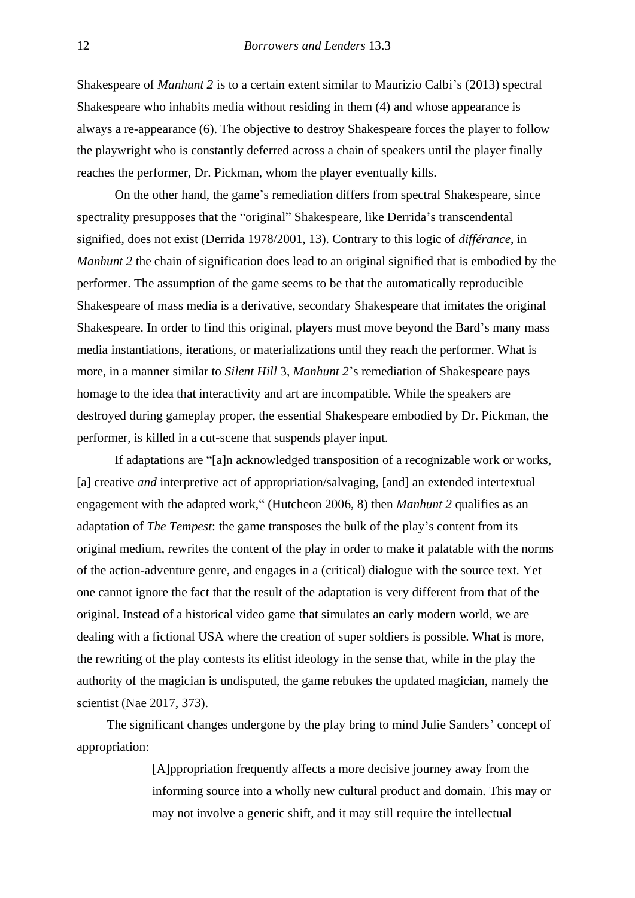Shakespeare of *Manhunt 2* is to a certain extent similar to Maurizio Calbi's (2013) spectral Shakespeare who inhabits media without residing in them (4) and whose appearance is always a re-appearance (6). The objective to destroy Shakespeare forces the player to follow the playwright who is constantly deferred across a chain of speakers until the player finally reaches the performer, Dr. Pickman, whom the player eventually kills.

On the other hand, the game's remediation differs from spectral Shakespeare, since spectrality presupposes that the "original" Shakespeare, like Derrida's transcendental signified, does not exist (Derrida 1978/2001, 13). Contrary to this logic of *différance*, in *Manhunt 2* the chain of signification does lead to an original signified that is embodied by the performer. The assumption of the game seems to be that the automatically reproducible Shakespeare of mass media is a derivative, secondary Shakespeare that imitates the original Shakespeare. In order to find this original, players must move beyond the Bard's many mass media instantiations, iterations, or materializations until they reach the performer. What is more, in a manner similar to *Silent Hill* 3, *Manhunt 2*'s remediation of Shakespeare pays homage to the idea that interactivity and art are incompatible. While the speakers are destroyed during gameplay proper, the essential Shakespeare embodied by Dr. Pickman, the performer, is killed in a cut-scene that suspends player input.

If adaptations are "[a]n acknowledged transposition of a recognizable work or works, [a] creative *and* interpretive act of appropriation/salvaging, [and] an extended intertextual engagement with the adapted work," (Hutcheon 2006, 8) then *Manhunt 2* qualifies as an adaptation of *The Tempest*: the game transposes the bulk of the play's content from its original medium, rewrites the content of the play in order to make it palatable with the norms of the action-adventure genre, and engages in a (critical) dialogue with the source text. Yet one cannot ignore the fact that the result of the adaptation is very different from that of the original. Instead of a historical video game that simulates an early modern world, we are dealing with a fictional USA where the creation of super soldiers is possible. What is more, the rewriting of the play contests its elitist ideology in the sense that, while in the play the authority of the magician is undisputed, the game rebukes the updated magician, namely the scientist (Nae 2017, 373).

The significant changes undergone by the play bring to mind Julie Sanders' concept of appropriation:

> [A]ppropriation frequently affects a more decisive journey away from the informing source into a wholly new cultural product and domain. This may or may not involve a generic shift, and it may still require the intellectual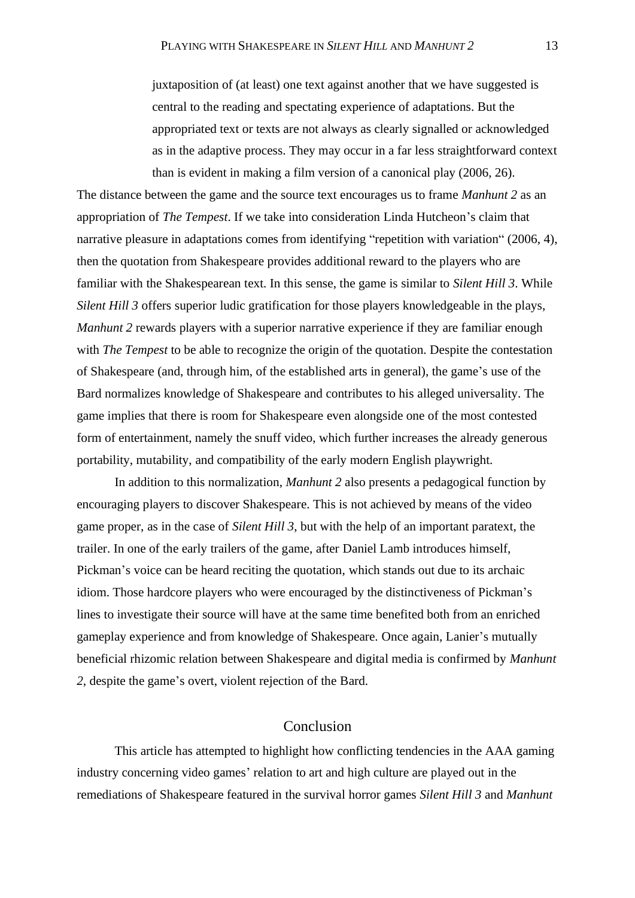juxtaposition of (at least) one text against another that we have suggested is central to the reading and spectating experience of adaptations. But the appropriated text or texts are not always as clearly signalled or acknowledged as in the adaptive process. They may occur in a far less straightforward context than is evident in making a film version of a canonical play (2006, 26).

The distance between the game and the source text encourages us to frame *Manhunt 2* as an appropriation of *The Tempest*. If we take into consideration Linda Hutcheon's claim that narrative pleasure in adaptations comes from identifying "repetition with variation" (2006, 4), then the quotation from Shakespeare provides additional reward to the players who are familiar with the Shakespearean text. In this sense, the game is similar to *Silent Hill 3*. While *Silent Hill 3* offers superior ludic gratification for those players knowledgeable in the plays, *Manhunt 2* rewards players with a superior narrative experience if they are familiar enough with *The Tempest* to be able to recognize the origin of the quotation. Despite the contestation of Shakespeare (and, through him, of the established arts in general), the game's use of the Bard normalizes knowledge of Shakespeare and contributes to his alleged universality. The game implies that there is room for Shakespeare even alongside one of the most contested form of entertainment, namely the snuff video, which further increases the already generous portability, mutability, and compatibility of the early modern English playwright.

In addition to this normalization, *Manhunt 2* also presents a pedagogical function by encouraging players to discover Shakespeare. This is not achieved by means of the video game proper, as in the case of *Silent Hill 3*, but with the help of an important paratext, the trailer. In one of the early trailers of the game, after Daniel Lamb introduces himself, Pickman's voice can be heard reciting the quotation, which stands out due to its archaic idiom. Those hardcore players who were encouraged by the distinctiveness of Pickman's lines to investigate their source will have at the same time benefited both from an enriched gameplay experience and from knowledge of Shakespeare. Once again, Lanier's mutually beneficial rhizomic relation between Shakespeare and digital media is confirmed by *Manhunt 2*, despite the game's overt, violent rejection of the Bard.

## Conclusion

This article has attempted to highlight how conflicting tendencies in the AAA gaming industry concerning video games' relation to art and high culture are played out in the remediations of Shakespeare featured in the survival horror games *Silent Hill 3* and *Manhunt*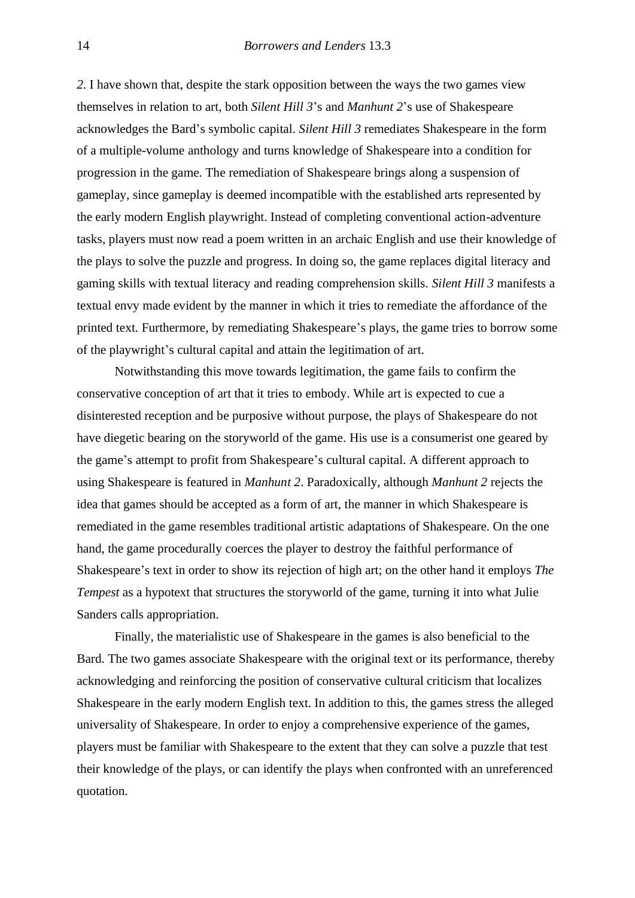*2*. I have shown that, despite the stark opposition between the ways the two games view themselves in relation to art, both *Silent Hill 3*'s and *Manhunt 2*'s use of Shakespeare acknowledges the Bard's symbolic capital. *Silent Hill 3* remediates Shakespeare in the form of a multiple-volume anthology and turns knowledge of Shakespeare into a condition for progression in the game. The remediation of Shakespeare brings along a suspension of gameplay, since gameplay is deemed incompatible with the established arts represented by the early modern English playwright. Instead of completing conventional action-adventure tasks, players must now read a poem written in an archaic English and use their knowledge of the plays to solve the puzzle and progress. In doing so, the game replaces digital literacy and gaming skills with textual literacy and reading comprehension skills. *Silent Hill 3* manifests a textual envy made evident by the manner in which it tries to remediate the affordance of the printed text. Furthermore, by remediating Shakespeare's plays, the game tries to borrow some of the playwright's cultural capital and attain the legitimation of art.

Notwithstanding this move towards legitimation, the game fails to confirm the conservative conception of art that it tries to embody. While art is expected to cue a disinterested reception and be purposive without purpose, the plays of Shakespeare do not have diegetic bearing on the storyworld of the game. His use is a consumerist one geared by the game's attempt to profit from Shakespeare's cultural capital. A different approach to using Shakespeare is featured in *Manhunt 2*. Paradoxically, although *Manhunt 2* rejects the idea that games should be accepted as a form of art, the manner in which Shakespeare is remediated in the game resembles traditional artistic adaptations of Shakespeare. On the one hand, the game procedurally coerces the player to destroy the faithful performance of Shakespeare's text in order to show its rejection of high art; on the other hand it employs *The Tempest* as a hypotext that structures the storyworld of the game, turning it into what Julie Sanders calls appropriation.

Finally, the materialistic use of Shakespeare in the games is also beneficial to the Bard. The two games associate Shakespeare with the original text or its performance, thereby acknowledging and reinforcing the position of conservative cultural criticism that localizes Shakespeare in the early modern English text. In addition to this, the games stress the alleged universality of Shakespeare. In order to enjoy a comprehensive experience of the games, players must be familiar with Shakespeare to the extent that they can solve a puzzle that test their knowledge of the plays, or can identify the plays when confronted with an unreferenced quotation.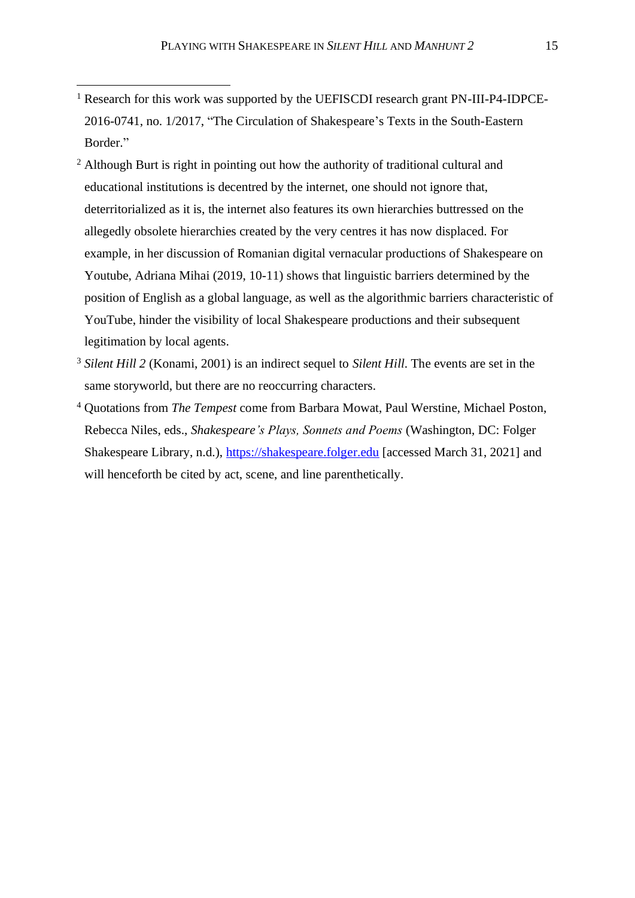- <sup>1</sup> Research for this work was supported by the UEFISCDI research grant PN-III-P4-IDPCE-2016-0741, no. 1/2017, "The Circulation of Shakespeare's Texts in the South-Eastern Border."
- <sup>2</sup> Although Burt is right in pointing out how the authority of traditional cultural and educational institutions is decentred by the internet, one should not ignore that, deterritorialized as it is, the internet also features its own hierarchies buttressed on the allegedly obsolete hierarchies created by the very centres it has now displaced. For example, in her discussion of Romanian digital vernacular productions of Shakespeare on Youtube, Adriana Mihai (2019, 10-11) shows that linguistic barriers determined by the position of English as a global language, as well as the algorithmic barriers characteristic of YouTube, hinder the visibility of local Shakespeare productions and their subsequent legitimation by local agents.
- <sup>3</sup> *Silent Hill 2* (Konami, 2001) is an indirect sequel to *Silent Hill*. The events are set in the same storyworld, but there are no reoccurring characters.
- <sup>4</sup> Quotations from *The Tempest* come from Barbara Mowat, Paul Werstine, Michael Poston, Rebecca Niles, eds., *Shakespeare's Plays, Sonnets and Poems* (Washington, DC: Folger Shakespeare Library, n.d.), [https://shakespeare.folger.edu](https://shakespeare.folger.edu/) [accessed March 31, 2021] and will henceforth be cited by act, scene, and line parenthetically.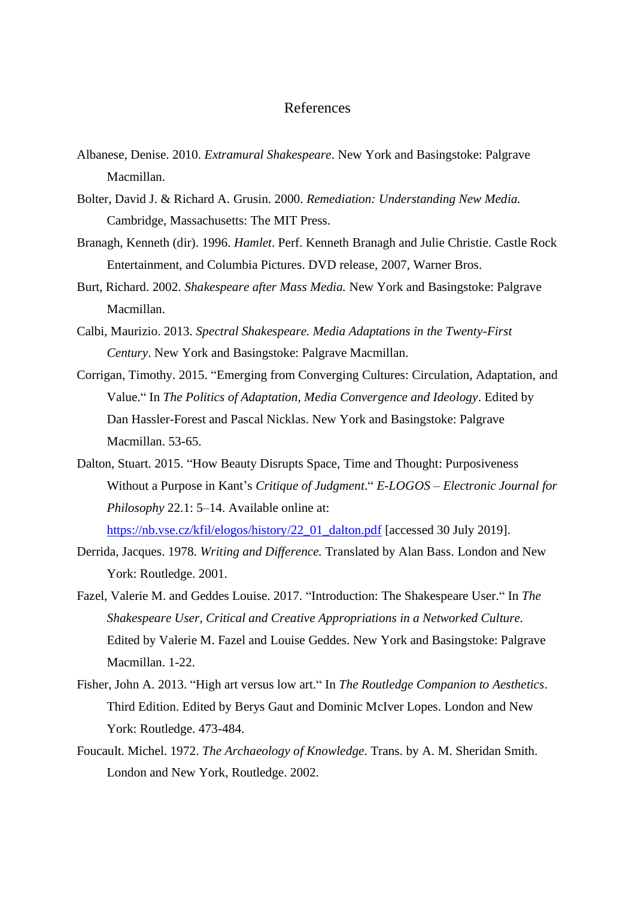#### References

- Albanese, Denise. 2010. *Extramural Shakespeare*. New York and Basingstoke: Palgrave Macmillan.
- Bolter, David J. & Richard A. Grusin. 2000. *Remediation: Understanding New Media.* Cambridge, Massachusetts: The MIT Press.
- Branagh, Kenneth (dir). 1996. *Hamlet*. Perf. Kenneth Branagh and Julie Christie. Castle Rock Entertainment, and Columbia Pictures. DVD release, 2007, Warner Bros.
- Burt, Richard. 2002. *Shakespeare after Mass Media.* New York and Basingstoke: Palgrave Macmillan.
- Calbi, Maurizio. 2013. *Spectral Shakespeare. Media Adaptations in the Twenty-First Century*. New York and Basingstoke: Palgrave Macmillan.
- Corrigan, Timothy. 2015. "Emerging from Converging Cultures: Circulation, Adaptation, and Value." In *The Politics of Adaptation, Media Convergence and Ideology*. Edited by Dan Hassler-Forest and Pascal Nicklas. New York and Basingstoke: Palgrave Macmillan. 53-65.
- Dalton, Stuart. 2015. "How Beauty Disrupts Space, Time and Thought: Purposiveness Without a Purpose in Kant's *Critique of Judgment*." *E-LOGOS – Electronic Journal for Philosophy* 22.1: 5–14. Available online at:

[https://nb.vse.cz/kfil/elogos/history/22\\_01\\_dalton.pdf](https://nb.vse.cz/kfil/elogos/history/22_01_dalton.pdf) [accessed 30 July 2019].

- Derrida, Jacques. 1978. *Writing and Difference.* Translated by Alan Bass. London and New York: Routledge. 2001.
- Fazel, Valerie M. and Geddes Louise. 2017. "Introduction: The Shakespeare User." In *The Shakespeare User, Critical and Creative Appropriations in a Networked Culture.* Edited by Valerie M. Fazel and Louise Geddes. New York and Basingstoke: Palgrave Macmillan. 1-22.
- Fisher, John A. 2013. "High art versus low art." In *The Routledge Companion to Aesthetics*. Third Edition. Edited by Berys Gaut and Dominic McIver Lopes. London and New York: Routledge. 473-484.
- Foucault. Michel. 1972. *The Archaeology of Knowledge*. Trans. by A. M. Sheridan Smith. London and New York, Routledge. 2002.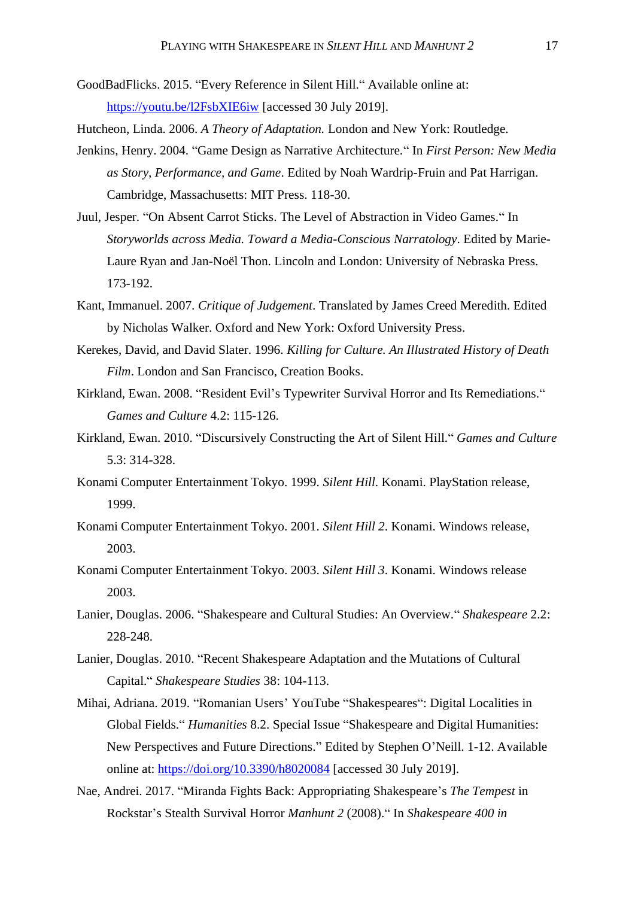- GoodBadFlicks. 2015. "Every Reference in Silent Hill." Available online at: <https://youtu.be/l2FsbXIE6iw> [accessed 30 July 2019].
- Hutcheon, Linda. 2006. *A Theory of Adaptation.* London and New York: Routledge.
- Jenkins, Henry. 2004. "Game Design as Narrative Architecture." In *First Person: New Media as Story, Performance, and Game*. Edited by Noah Wardrip-Fruin and Pat Harrigan. Cambridge, Massachusetts: MIT Press. 118-30.
- Juul, Jesper. "On Absent Carrot Sticks. The Level of Abstraction in Video Games." In *Storyworlds across Media. Toward a Media-Conscious Narratology*. Edited by Marie-Laure Ryan and Jan-Noël Thon. Lincoln and London: University of Nebraska Press. 173-192.
- Kant, Immanuel. 2007. *Critique of Judgement*. Translated by James Creed Meredith. Edited by Nicholas Walker. Oxford and New York: Oxford University Press.
- Kerekes, David, and David Slater. 1996. *Killing for Culture. An Illustrated History of Death Film*. London and San Francisco, Creation Books.
- Kirkland, Ewan. 2008. "Resident Evil's Typewriter Survival Horror and Its Remediations." *Games and Culture* 4.2: 115-126.
- Kirkland, Ewan. 2010. "Discursively Constructing the Art of Silent Hill." *Games and Culture* 5.3: 314-328.
- Konami Computer Entertainment Tokyo. 1999. *Silent Hill*. Konami. PlayStation release, 1999.
- Konami Computer Entertainment Tokyo. 2001. *Silent Hill 2*. Konami. Windows release, 2003.
- Konami Computer Entertainment Tokyo. 2003. *Silent Hill 3*. Konami. Windows release 2003.
- Lanier, Douglas. 2006. "Shakespeare and Cultural Studies: An Overview." *Shakespeare* 2.2: 228-248.
- Lanier, Douglas. 2010. "Recent Shakespeare Adaptation and the Mutations of Cultural Capital." *Shakespeare Studies* 38: 104-113.
- Mihai, Adriana. 2019. "Romanian Users' YouTube "Shakespeares": Digital Localities in Global Fields." *Humanities* 8.2. Special Issue "Shakespeare and Digital Humanities: New Perspectives and Future Directions." Edited by Stephen O'Neill. 1-12. Available online at:<https://doi.org/10.3390/h8020084> [accessed 30 July 2019].
- Nae, Andrei. 2017. "Miranda Fights Back: Appropriating Shakespeare's *The Tempest* in Rockstar's Stealth Survival Horror *Manhunt 2* (2008)." In *Shakespeare 400 in*